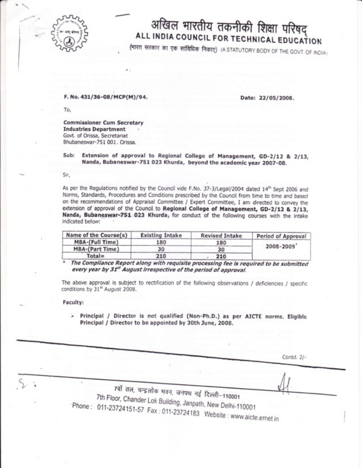

,)'

# अखिल भारतीय तकनीकी शिक्षा परिषद्<br>ALL INDIA COUNCIL FOR TECHNICAL EDUCATION

(भारत सरकार का एक सांविधिक निकाए) (A STATUTORY BODY OF THE GOVT OF INDIA i

## F. No. 431/36-o8/McP(M)/94.

Date: 22/05/2008.

T0,

Commicsioner Cum Secretary Industries Department Govt. of Orissa, Secretariat Bhubaneswar-751 001. Orissa.

## Sub: Extension of approval to Regional College of Management, GD-2/12 & 2/13, Nanda, Bubaneswar-751 O23 Khurda, beyond the academic year 2007-08.

Sir,

As per the Regulations notified by the Council vide F.No. 37-3/Legal/2004 dated 14<sup>th</sup> Sept 2006 and Norms, Standards, Procedures and Conditions prescribed by the Council from time to time and based on the recommendations of Appraisal Committee / Expert Committee, I am directed to convey the extension of approval of the Council to Regional College of Management, GD-2/12 & 2/13, Nanda, Bubaneswar-751 023 Khurda, for conduct of the following courses with the intake indicated below:

| Name of the Course(s) | <b>Existing Intake</b> | <b>Revised Intake</b> | Period of Approval |
|-----------------------|------------------------|-----------------------|--------------------|
| MBA-(Full Time)       | 180                    | 180                   | 2008-2009          |
| MBA-(Part Time)       | 30                     | 30                    |                    |
| Total=                | 210                    | 210                   |                    |

Total= 210 210 210<br>The Compliance Report along with requisite processing fee is required to be submitted every year by 31st August irrespective of the period of approval.

The above approval is subject to rectification of the following observations / deficiencies / specific conditions by 31<sup>st</sup> August 2008.

#### Faculty:

> Principal / Director is not qualified (Non-Ph.D.) as per AICTE norms. Eligible Principal / Director to be appointed by 30th June, 2008.

Contd. 2/-7वाँ तल, चन्द्रलोक भवन, जनपथ नई दिल्ली–110001 7th Floor, Chander Lok Building, Janpath, New Delhi-110001 Phone: 011-23724151-57 Fax: 011-23724183 Website: www.aicte.ernet.in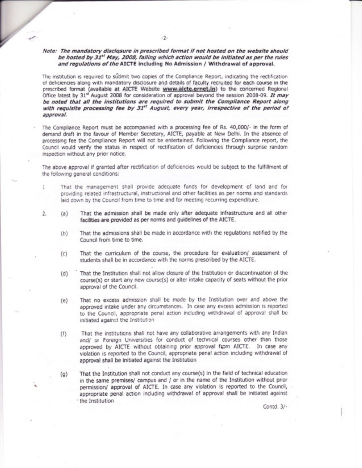### Note: The mandatory disclosure in prescribed format if not hosted on the website should be hosted by 31<sup>st</sup> May, 2008, failing which action would be initiated as per the rules and regulations of the AICTE including No Admission / Withdrawal of approval.

The institution is required to submit two copies of the Compliance Report, indicating the rectification of deficiencies along with mandatory disclosure and details of faculty recruited for each course in the prescribed format (available at AICTE Website www.aicte.ernet.in) to the concerned Regional Office latest by 31<sup>st</sup> August 2008 for consideration of approval beyond the session 2008-09. It may be noted that all the institutions are rcquired to submlt the Compliance Report along with requisite processing fee by  $31<sup>st</sup>$  August, every year, irrespective of the period of approval.

The Compliance Report must be accompanied with a processing fee of Rs. 40,000/- in the form of demand draft in the favour of Member Secretary, AICTE, payable at New Delhi. In the absence of processing fee the Compliance Report will not be entertained, Following the Compliance repoft, the Council would verify the status in respect of rectification of deficiencies through surprise random inspection without any prior notice,

The above approval if granted after rectification of deficiencies would be subject to the fulfillrnent of the following general conditions:

- 1 That the management shall provide adequate funds for development of land and for providing related infrastructural, instructional and other facilities as per norms and standards laid down by the Council from time to time and for meeting recurring expenditure.
- That the admission shall be made only after adequate infrastructure and all other facillties are provided as per norrns and guidelines of the AICTE. (a)

2.

- That the admissions shall be made in accordance with the regulations notified by the Council from time to time. (b)
- That the curriculum of the course, the procedure for evaluation/ assessment of students shall be in accordance with the norms prescribed by the AICTE. (c)
- That the Institution shall not allow closure of the Institution or discontinuation of the course(s) or start any new course(s) or alter intake capacity of seats without the prior approval of the Council. (d)
- That no excess admission shall be made by the Institution over and above the approved intake under any circumstances. In case any excess admission is reported to the Council, appropriate penal action including withdrawal of approval shall be initialed against the Institution (e)
- That the institutions shall not have any collaborative arrangements with any Indian and/ or Foreign Universities for conduct of technical courses other than those approved by AICTE without obtaining prior approval from AICTE. In case any violation is repcrted to the Council, appropriate penal action including withdrawal of approval shall be initiated against the Institution (f)
- That the Institution shall not conduct any course(s) in the field of technical education in the same premises/ campus and / or in the name of the Institution without prior permission/ approval of AICTE, In case any violation is reported to the Council, appropriate penal action including withdrawal of approval shall be initiated against the Institution (s)

Contd. 3/-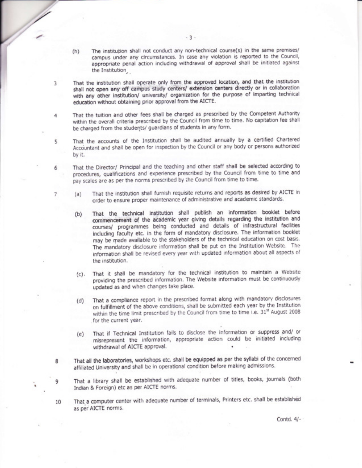- (h) The institution shall not conduct any non-technical course(s) in the same premises/ campus under any circumstances. In case any violation is reported to the Council, appropriate penal action including withdrawal of approval shall be initiated against the Institution .
- That the institution shall operate only from the approved location, and that the institution shall not open any off campus study centers/ extension centers directly or in collaboration with any other institution/ university/ organization for the purpose of imparting technical education without obtaining prior approval from the AICTE.
- That the tuition and other fees shall be charged as prescribed by the Competent Authority 4 within the overall criteria prescribed by the Council from time to time. No capitation fee shall be charged from the students/ guardians of students in any form.
	- That the accounts of the Institution shall be audited annually by a certified Chartered Accountant and shall be open for inspection by the Council or any body or persons authorized by it.
		- That the Director/ Principal and the teaching and other staff shall be selected according to procedures, qualifications and experience prescribed by the Council from time to time and pay scales are as per the norms prescribed by the Council from time to time.
			- (a) That the institution shall furnish requisite returns and reports as desired by AICTE in order to ensure proper maintenance of administrative and academic standards.
			- (b) That the technical institution shall publish an information booklet before commencement of the academic year giving details regarding the institution and courses/ programmes being conducted and details of infrastructural facilities including faculty etc, in the form of mandatory disclosure, The information booklet may be made available to the stakeholders of the technical education on cost basis. The mandatory disclosure information shall be put on the Institution Website. The information shall be revised every year with updated information about all aspects of the institution.
			- (c). That it shall be mandatory for the technical institution to maintain a website providing the prescribed information. The Website information must be continuously updated as and when changes take place.
			- (d) That a compliance report in the prescribed format along with mandatory disclosures on fulfillment of the above conditions, shall be submitted each year by the Institution within the time limit prescribed by the Council from time to time i.e. 31<sup>st</sup> August 2008 for the current year.
			- (e) That if Technical lnstitution fails to disclose the information or suppress and/ or misrepresent the information, appropriate action could be initiated including withdrawal of AICTE approval.
- That all the laboratories, workshops etc. shall be equipped as per the syllabi of the concerned 8 affiliated University and shall be in operational condition before making admissions.
	- That a library shall be established with adequate number of titles, books, journals (both Indian & Foreign) etc as per AICTE norms
- That a computer center with adequate number of terminals, Printers etc. shall be established as per AICTE norms. 10

Contd. 4/.

q

3

5

6

 $\overline{7}$